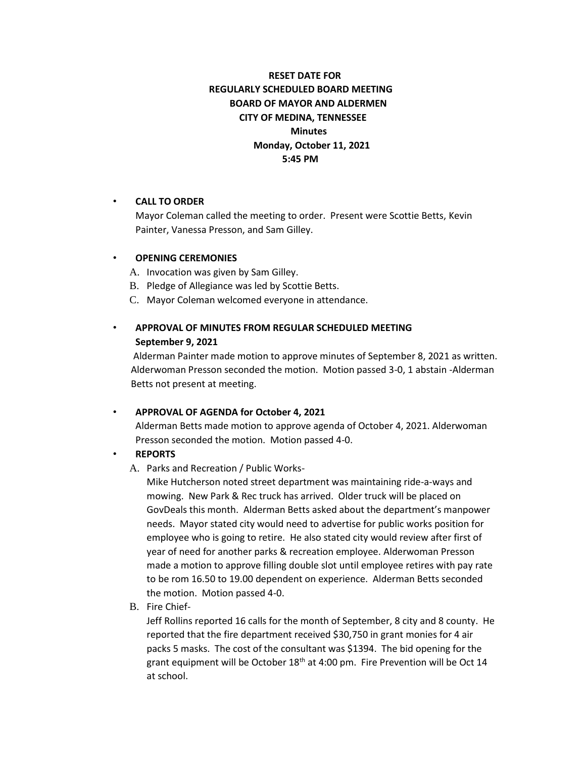# **RESET DATE FOR REGULARLY SCHEDULED BOARD MEETING BOARD OF MAYOR AND ALDERMEN CITY OF MEDINA, TENNESSEE Minutes Monday, October 11, 2021 5:45 PM**

#### • **CALL TO ORDER**

Mayor Coleman called the meeting to order. Present were Scottie Betts, Kevin Painter, Vanessa Presson, and Sam Gilley.

#### • **OPENING CEREMONIES**

- A. Invocation was given by Sam Gilley.
- B. Pledge of Allegiance was led by Scottie Betts.
- C. Mayor Coleman welcomed everyone in attendance.

## • **APPROVAL OF MINUTES FROM REGULAR SCHEDULED MEETING September 9, 2021**

Alderman Painter made motion to approve minutes of September 8, 2021 as written. Alderwoman Presson seconded the motion. Motion passed 3-0, 1 abstain -Alderman Betts not present at meeting.

#### • **APPROVAL OF AGENDA for October 4, 2021**

Alderman Betts made motion to approve agenda of October 4, 2021. Alderwoman Presson seconded the motion. Motion passed 4-0.

#### • **REPORTS**

A. Parks and Recreation / Public Works-

Mike Hutcherson noted street department was maintaining ride-a-ways and mowing. New Park & Rec truck has arrived. Older truck will be placed on GovDeals this month. Alderman Betts asked about the department's manpower needs. Mayor stated city would need to advertise for public works position for employee who is going to retire. He also stated city would review after first of year of need for another parks & recreation employee. Alderwoman Presson made a motion to approve filling double slot until employee retires with pay rate to be rom 16.50 to 19.00 dependent on experience. Alderman Betts seconded the motion. Motion passed 4-0.

B. Fire Chief-

Jeff Rollins reported 16 calls for the month of September, 8 city and 8 county. He reported that the fire department received \$30,750 in grant monies for 4 air packs 5 masks. The cost of the consultant was \$1394. The bid opening for the grant equipment will be October 18<sup>th</sup> at 4:00 pm. Fire Prevention will be Oct 14 at school.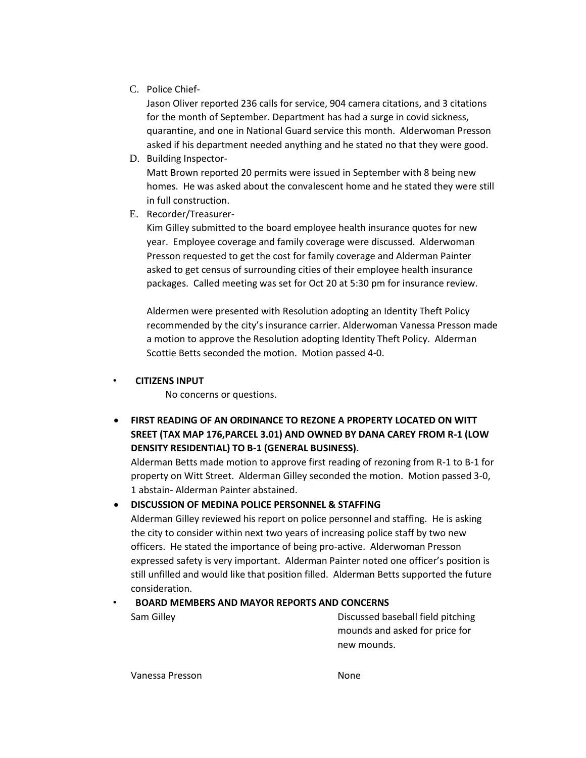C. Police Chief-

Jason Oliver reported 236 calls for service, 904 camera citations, and 3 citations for the month of September. Department has had a surge in covid sickness, quarantine, and one in National Guard service this month. Alderwoman Presson asked if his department needed anything and he stated no that they were good.

D. Building Inspector-

Matt Brown reported 20 permits were issued in September with 8 being new homes. He was asked about the convalescent home and he stated they were still in full construction.

E. Recorder/Treasurer-

Kim Gilley submitted to the board employee health insurance quotes for new year. Employee coverage and family coverage were discussed. Alderwoman Presson requested to get the cost for family coverage and Alderman Painter asked to get census of surrounding cities of their employee health insurance packages. Called meeting was set for Oct 20 at 5:30 pm for insurance review.

Aldermen were presented with Resolution adopting an Identity Theft Policy recommended by the city's insurance carrier. Alderwoman Vanessa Presson made a motion to approve the Resolution adopting Identity Theft Policy. Alderman Scottie Betts seconded the motion. Motion passed 4-0.

• **CITIZENS INPUT**

No concerns or questions.

• **FIRST READING OF AN ORDINANCE TO REZONE A PROPERTY LOCATED ON WITT SREET (TAX MAP 176,PARCEL 3.01) AND OWNED BY DANA CAREY FROM R-1 (LOW DENSITY RESIDENTIAL) TO B-1 (GENERAL BUSINESS).**

Alderman Betts made motion to approve first reading of rezoning from R-1 to B-1 for property on Witt Street. Alderman Gilley seconded the motion. Motion passed 3-0, 1 abstain- Alderman Painter abstained.

## • **DISCUSSION OF MEDINA POLICE PERSONNEL & STAFFING**

Alderman Gilley reviewed his report on police personnel and staffing. He is asking the city to consider within next two years of increasing police staff by two new officers. He stated the importance of being pro-active. Alderwoman Presson expressed safety is very important. Alderman Painter noted one officer's position is still unfilled and would like that position filled. Alderman Betts supported the future consideration.

## • **BOARD MEMBERS AND MAYOR REPORTS AND CONCERNS**

Sam Gilley Discussed baseball field pitching mounds and asked for price for new mounds.

Vanessa Presson None